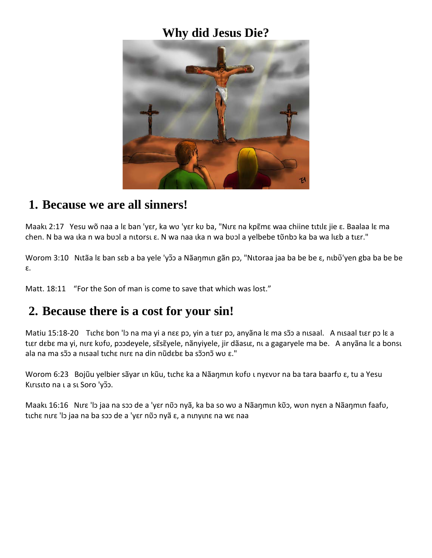#### **Why did Jesus Die?**



#### **1. Because we are all sinners!**

Maaku 2:17 Yesu wõ naa a lɛ ban 'yɛr, ka wʋ 'yɛr kʋ ba, "Nurɛ na kpɛ̃mɛ waa chiine tutlɛ jie ɛ. Baalaa lɛ ma chen. N ba wa lka n wa bool a nitorsi  $\varepsilon$ . N wa naa lka n wa bool a yelbebe tonbo ka ba wa lieb a tier."

Worom 3:10 Nutãa lε ban sɛb a ba yele 'yɔ̃ɔ a Nãaŋmun gãn pɔ, "Nutoraa jaa ba be be ε, nubõ'yen gba ba be be ɛ.

Matt. 18:11 "For the Son of man is come to save that which was lost."

#### **2. Because there is a cost for your sin!**

Matiu 15:18-20 Tιchε bon 'lɔ na ma yi a nεε pɔ, yin a tιεr pɔ, anyãna lɛ ma sɔ̃ɔ a nɪsaal. A nɪsaal tɪɛr pɔ lɛ a tıer debe ma yi, nıre kufu, poodeyele, sẽsẽ yele, nãnyiyele, jir dãasıe, nı a gagaryele ma be. A anyãna le a bonsu ala na ma sɔ̃ɔ a nisaal tichɛ nirɛ na din nũdɛbɛ ba sɔ̃ɔnɔ̃ wʋ ɛ."

Worom 6:23 Bojũu yelbier sãyar ιn kũu, tıchɛ ka a Nãaŋmın kvfv ι nyɛvvr na ba tara baarfv ε, tu a Yesu Kırısıto na ı a sı Soro 'yõ.

Maakı 16:16 Nurɛ 'lɔ jaa na sɔɔ de a 'yɛr nง̃ɔ nyã, ka ba so wʋ a Nãaŋmun kʋ̃ɔ, wʋn nyɛn a Nãaŋmun faafʋ, tıchɛ nurɛ 'lɔ jaa na ba sɔɔ de a 'yɛr nῦɔ nyã ɛ, a nunyunɛ na wɛ naa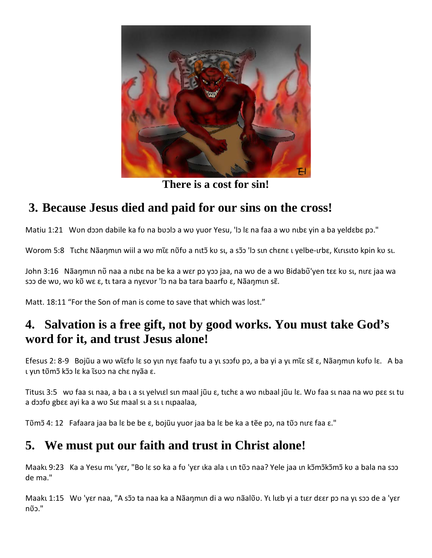

**There is a cost for sin!**

# **3. Because Jesus died and paid for our sins on the cross!**

Matiu 1:21 Wun doon dabile ka fu na buolo a wu yuor Yesu, 'lo lɛ na faa a wu nibɛ yin a ba yeldɛbɛ pɔ."

Worom 5:8 Tichε Nãaŋmin wiil a wv mιε nῦfv a nitɔ̃ kv si, a sɔ̃ 'lɔ sin chɛnɛ i yelbe-irbɛ, Kırısıto kpin kv si.

John 3:16 Nãaŋmɪn nῦ naa a nɪbɛ na be ka a wɛr pɔ yɔɔ jaa, na wʋ de a wʋ Bidabῦ yen tɛɛ kʋ sɪ, nɪrɛ jaa wa sɔɔ de wʋ, wʋ kῦ wε ε, tι tara a nyεvʋr 'lɔ na ba tara baarfʋ ε, Nãaŋmın sɛ̃.

Matt. 18:11 "For the Son of man is come to save that which was lost."

### **4. Salvation is a free gift, not by good works. You must take God's word for it, and trust Jesus alone!**

Efesus 2: 8-9 Bojũu a wʋ wɩɛfʋ lɛ s ̃ o yɩn nyɛ faafʋ tu a yɩ sɔɔfʋ pɔ, a ba yi a yɩ mɩɛ sɛ ̃ ɛ, Nãaŋmɩn kʋfʋ lɛ. ̃ A ba ι γιn tῦmɔ̃ kɔ̃ lɛ ka τsv na chε nyãa ε.

Titusu 3:5 wu faa su naa, a ba ua su yelvuɛl sun maal jũu ɛ, tuchɛ a wu nubaal jũu lɛ. Wu faa su naa na wu pɛɛ su tu a doofu gbɛɛ ayi ka a wu SLE maal sL a sL L nLpaalaa,

Tʋ̃mɔ 4: ̃ 12 Fafaara jaa ba lɛ be be ɛ, bojũu yuor jaa ba lɛ be ka a tẽe pɔ, na tʋ̃ɔ nɩrɛ faa ɛ."

# **5. We must put our faith and trust in Christ alone!**

Maakı 9:23 Ka a Yesu mı 'yɛr, "Bo lɛ so ka a fu 'yɛr ıka ala ı ın tῦɔ naa? Yele jaa ın kɔ̃mɔ̃kɔ̃mɔ̃ kʋ a bala na sɔɔ de ma."

Maakı 1:15 Wo 'yɛr naa, "A sɔ̃o ta naa ka a Nãaŋmın di a wo nãalõo. Yı lıɛb yi a tıɛr dɛɛr pɔ na yı sɔɔ de a 'yɛr nʋ̃ɔ."